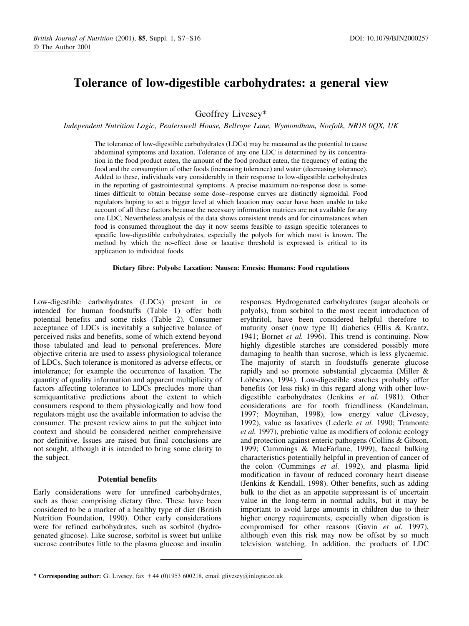# Tolerance of low-digestible carbohydrates: a general view

Geoffrey Livesey\*

Independent Nutrition Logic, Pealerswell House, Bellrope Lane, Wymondham, Norfolk, NR18 0QX, UK

The tolerance of low-digestible carbohydrates (LDCs) may be measured as the potential to cause abdominal symptoms and laxation. Tolerance of any one LDC is determined by its concentration in the food product eaten, the amount of the food product eaten, the frequency of eating the food and the consumption of other foods (increasing tolerance) and water (decreasing tolerance). Added to these, individuals vary considerably in their response to low-digestible carbohydrates in the reporting of gastrointestinal symptoms. A precise maximum no-response dose is sometimes difficult to obtain because some dose-response curves are distinctly sigmoidal. Food regulators hoping to set a trigger level at which laxation may occur have been unable to take account of all these factors because the necessary information matrices are not available for any one LDC. Nevertheless analysis of the data shows consistent trends and for circumstances when food is consumed throughout the day it now seems feasible to assign specific tolerances to specific low-digestible carbohydrates, especially the polyols for which most is known. The method by which the no-effect dose or laxative threshold is expressed is critical to its application to individual foods.

#### Dietary fibre: Polyols: Laxation: Nausea: Emesis: Humans: Food regulations

Low-digestible carbohydrates (LDCs) present in or intended for human foodstuffs [\(Table 1\)](#page-1-0) offer both potential benefits and some risks [\(Table 2\).](#page-1-0) Consumer acceptance of LDCs is inevitably a subjective balance of perceived risks and benefits, some of which extend beyond those tabulated and lead to personal preferences. More objective criteria are used to assess physiological tolerance of LDCs. Such tolerance is monitored as adverse effects, or intolerance; for example the occurrence of laxation. The quantity of quality information and apparent multiplicity of factors affecting tolerance to LDCs precludes more than semiquantitative predictions about the extent to which consumers respond to them physiologically and how food regulators might use the available information to advise the consumer. The present review aims to put the subject into context and should be considered neither comprehensive nor definitive. Issues are raised but final conclusions are not sought, although it is intended to bring some clarity to the subject.

## Potential benefits

Early considerations were for unrefined carbohydrates, such as those comprising dietary fibre. These have been considered to be a marker of a healthy type of diet (British Nutrition Foundation, 1990). Other early considerations were for refined carbohydrates, such as sorbitol (hydrogenated glucose). Like sucrose, sorbitol is sweet but unlike sucrose contributes little to the plasma glucose and insulin

responses. Hydrogenated carbohydrates (sugar alcohols or polyols), from sorbitol to the most recent introduction of erythritol, have been considered helpful therefore to maturity onset (now type II) diabetics (Ellis & Krantz, 1941; Bornet et al. 1996). This trend is continuing. Now highly digestible starches are considered possibly more damaging to health than sucrose, which is less glycaemic. The majority of starch in foodstuffs generate glucose rapidly and so promote substantial glycaemia (Miller & Lobbezoo, 1994). Low-digestible starches probably offer benefits (or less risk) in this regard along with other lowdigestible carbohydrates (Jenkins et al. 1981). Other considerations are for tooth friendliness (Kandelman, 1997; Moynihan, 1998), low energy value (Livesey, 1992), value as laxatives (Lederle et al. 1990; Tramonte et al. 1997), prebiotic value as modifiers of colonic ecology and protection against enteric pathogens (Collins & Gibson, 1999; Cummings & MacFarlane, 1999), faecal bulking characteristics potentially helpful in prevention of cancer of the colon (Cummings et al. 1992), and plasma lipid modification in favour of reduced coronary heart disease (Jenkins & Kendall, 1998). Other benefits, such as adding bulk to the diet as an appetite suppressant is of uncertain value in the long-term in normal adults, but it may be important to avoid large amounts in children due to their higher energy requirements, especially when digestion is compromised for other reasons (Gavin et al. 1997), although even this risk may now be offset by so much television watching. In addition, the products of LDC

<sup>\*</sup> Corresponding author: G. Livesey, fax  $+44$  (0)1953 600218, email glivesey@inlogic.co.uk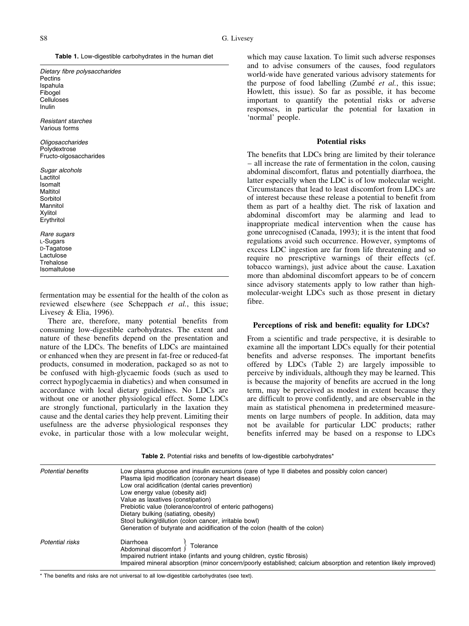<span id="page-1-0"></span>

| Dietary fibre polysaccharides<br>Pectins<br>Ispahula<br>Fibogel<br>Celluloses<br>Inulin            |
|----------------------------------------------------------------------------------------------------|
| <b>Resistant starches</b><br>Various forms                                                         |
| Oligosaccharides<br>Polydextrose<br>Fructo-olgosaccharides                                         |
| Sugar alcohols<br>Lactitol<br>Isomalt<br>Maltitol<br>Sorbitol<br>Mannitol<br>Xylitol<br>Erythritol |
| Rare sugars<br>L-Sugars<br>D-Tagatose<br>Lactulose<br>Trehalose<br>Isomaltulose                    |

fermentation may be essential for the health of the colon as reviewed elsewhere (see Scheppach et al., this issue; Livesey & Elia, 1996).

There are, therefore, many potential benefits from consuming low-digestible carbohydrates. The extent and nature of these benefits depend on the presentation and nature of the LDCs. The benefits of LDCs are maintained or enhanced when they are present in fat-free or reduced-fat products, consumed in moderation, packaged so as not to be confused with high-glycaemic foods (such as used to correct hypoglycaemia in diabetics) and when consumed in accordance with local dietary guidelines. No LDCs are without one or another physiological effect. Some LDCs are strongly functional, particularly in the laxation they cause and the dental caries they help prevent. Limiting their usefulness are the adverse physiological responses they evoke, in particular those with a low molecular weight,

which may cause laxation. To limit such adverse responses and to advise consumers of the causes, food regulators world-wide have generated various advisory statements for the purpose of food labelling (Zumbé *et al.*, this issue; Howlett, this issue). So far as possible, it has become important to quantify the potential risks or adverse responses, in particular the potential for laxation in `normal' people.

#### Potential risks

The benefits that LDCs bring are limited by their tolerance ± all increase the rate of fermentation in the colon, causing abdominal discomfort, flatus and potentially diarrhoea, the latter especially when the LDC is of low molecular weight. Circumstances that lead to least discomfort from LDCs are of interest because these release a potential to benefit from them as part of a healthy diet. The risk of laxation and abdominal discomfort may be alarming and lead to inappropriate medical intervention when the cause has gone unrecognised (Canada, 1993); it is the intent that food regulations avoid such occurrence. However, symptoms of excess LDC ingestion are far from life threatening and so require no prescriptive warnings of their effects (cf. tobacco warnings), just advice about the cause. Laxation more than abdominal discomfort appears to be of concern since advisory statements apply to low rather than highmolecular-weight LDCs such as those present in dietary fibre.

# Perceptions of risk and benefit: equality for LDCs?

From a scientific and trade perspective, it is desirable to examine all the important LDCs equally for their potential benefits and adverse responses. The important benefits offered by LDCs (Table 2) are largely impossible to perceive by individuals, although they may be learned. This is because the majority of benefits are accrued in the long term, may be perceived as modest in extent because they are difficult to prove confidently, and are observable in the main as statistical phenomena in predetermined measurements on large numbers of people. In addition, data may not be available for particular LDC products; rather benefits inferred may be based on a response to LDCs

|  |  |  |  |  |  |  | Table 2. Potential risks and benefits of low-digestible carbohydrates* |
|--|--|--|--|--|--|--|------------------------------------------------------------------------|
|--|--|--|--|--|--|--|------------------------------------------------------------------------|

| <b>Potential benefits</b> | Low plasma glucose and insulin excursions (care of type II diabetes and possibly colon cancer)<br>Plasma lipid modification (coronary heart disease)<br>Low oral acidification (dental caries prevention)<br>Low energy value (obesity aid)<br>Value as laxatives (constipation)<br>Prebiotic value (tolerance/control of enteric pathogens)<br>Dietary bulking (satiating, obesity)<br>Stool bulking/dilution (colon cancer, irritable bowl)<br>Generation of butyrate and acidification of the colon (health of the colon) |
|---------------------------|------------------------------------------------------------------------------------------------------------------------------------------------------------------------------------------------------------------------------------------------------------------------------------------------------------------------------------------------------------------------------------------------------------------------------------------------------------------------------------------------------------------------------|
| Potential risks           | Diarrhoea (<br>Abdominal discomfort )<br>Tolerance<br>Impaired nutrient intake (infants and young children, cystic fibrosis)<br>Impaired mineral absorption (minor concern/poorly established; calcium absorption and retention likely improved)                                                                                                                                                                                                                                                                             |

\* The benefits and risks are not universal to all low-digestible carbohydrates (see text).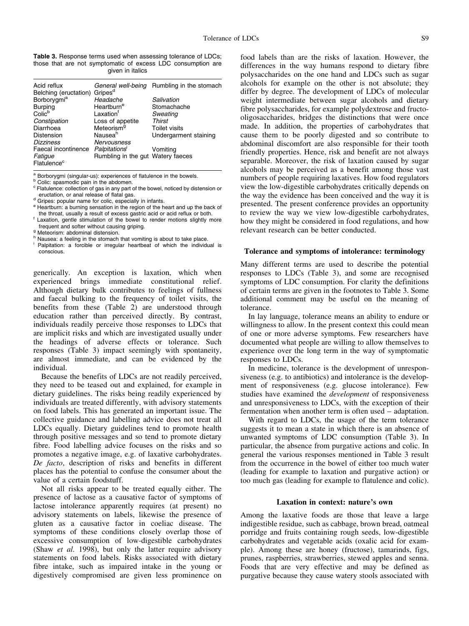<span id="page-2-0"></span>Table 3. Response terms used when assessing tolerance of LDCs; those that are not symptomatic of excess LDC consumption are given in italics

| Gripes <sup>d</sup><br>Belching (eructation) | General well-being Rumbling in the stomach |
|----------------------------------------------|--------------------------------------------|
| Headache                                     | Salivation                                 |
| Heartburn <sup>e</sup>                       | Stomachache                                |
| Laxation <sup>t</sup>                        | Sweating                                   |
| Loss of appetite                             | <b>Thirst</b>                              |
| Meteorism <sup>9</sup>                       | Toilet visits                              |
| Nausea <sup>h</sup>                          | Undergarment staining                      |
| <b>Nervousness</b>                           |                                            |
| Palpitations                                 | Vomiting                                   |
| Rumbling in the gut Watery faeces            |                                            |
|                                              |                                            |

<sup>a</sup> Borborygmi (singular-us): experiences of flatulence in the bowels.<br>  $\frac{b}{c}$  Colic: spasmodic pain in the abdomen.<br>  $\frac{c}{c}$  Flatulence: collection of gas in any part of the bowel, noticed by distension or eructatio

<sup>d</sup> Gripes: popular name for colic, especially in infants.<br>
<sup>e</sup> Heartburn: a burning sensation in the region of the heart and up the back of the throat, usually a result of excess gastric acid or acid reflux or both.

Laxation, gentle stimulation of the bowel to render motions slightly more frequent and softer without causing griping.<br>  $9$  Meteorism: abdominal distension.<br>  $n$  Nausea: a feeling in the stomach that vomiting is about to take place.<br>  $\frac{1}{1}$  Palpitation: a forcible or irreqular heartbeat of w

conscious.

generically. An exception is laxation, which when experienced brings immediate constitutional relief. Although dietary bulk contributes to feelings of fullness and faecal bulking to the frequency of toilet visits, the benefits from these [\(Table 2\) a](#page-1-0)re understood through education rather than perceived directly. By contrast, individuals readily perceive those responses to LDCs that are implicit risks and which are investigated usually under the headings of adverse effects or tolerance. Such responses (Table 3) impact seemingly with spontaneity, are almost immediate, and can be evidenced by the individual.

Because the benefits of LDCs are not readily perceived, they need to be teased out and explained, for example in dietary guidelines. The risks being readily experienced by individuals are treated differently, with advisory statements on food labels. This has generated an important issue. The collective guidance and labelling advice does not treat all LDCs equally. Dietary guidelines tend to promote health through positive messages and so tend to promote dietary fibre. Food labelling advice focuses on the risks and so promotes a negative image, e.g. of laxative carbohydrates. De facto, description of risks and benefits in different places has the potential to confuse the consumer about the value of a certain foodstuff.

Not all risks appear to be treated equally either. The presence of lactose as a causative factor of symptoms of lactose intolerance apparently requires (at present) no advisory statements on labels, likewise the presence of gluten as a causative factor in coeliac disease. The symptoms of these conditions closely overlap those of excessive consumption of low-digestible carbohydrates (Shaw et al. 1998), but only the latter require advisory statements on food labels. Risks associated with dietary fibre intake, such as impaired intake in the young or digestively compromised are given less prominence on

food labels than are the risks of laxation. However, the differences in the way humans respond to dietary fibre polysaccharides on the one hand and LDCs such as sugar alcohols for example on the other is not absolute; they differ by degree. The development of LDCs of molecular weight intermediate between sugar alcohols and dietary fibre polysaccharides, for example polydextrose and fructooligosaccharides, bridges the distinctions that were once made. In addition, the properties of carbohydrates that cause them to be poorly digested and so contribute to abdominal discomfort are also responsible for their tooth friendly properties. Hence, risk and benefit are not always separable. Moreover, the risk of laxation caused by sugar alcohols may be perceived as a benefit among those vast numbers of people requiring laxatives. How food regulators view the low-digestible carbohydrates critically depends on the way the evidence has been conceived and the way it is presented. The present conference provides an opportunity to review the way we view low-digestible carbohydrates, how they might be considered in food regulations, and how relevant research can be better conducted.

## Tolerance and symptoms of intolerance: terminology

Many different terms are used to describe the potential responses to LDCs (Table 3), and some are recognised symptoms of LDC consumption. For clarity the definitions of certain terms are given in the footnotes to Table 3. Some additional comment may be useful on the meaning of tolerance.

In lay language, tolerance means an ability to endure or willingness to allow. In the present context this could mean of one or more adverse symptoms. Few researchers have documented what people are willing to allow themselves to experience over the long term in the way of symptomatic responses to LDCs.

In medicine, tolerance is the development of unresponsiveness (e.g. to antibiotics) and intolerance is the development of responsiveness (e.g. glucose intolerance). Few studies have examined the development of responsiveness and unresponsiveness to LDCs, with the exception of their fermentation when another term is often used - adaptation.

With regard to LDCs, the usage of the term tolerance suggests it to mean a state in which there is an absence of unwanted symptoms of LDC consumption (Table 3). In particular, the absence from purgative actions and colic. In general the various responses mentioned in Table 3 result from the occurrence in the bowel of either too much water (leading for example to laxation and purgative action) or too much gas (leading for example to flatulence and colic).

#### Laxation in context: nature's own

Among the laxative foods are those that leave a large indigestible residue, such as cabbage, brown bread, oatmeal porridge and fruits containing rough seeds, low-digestible carbohydrates and vegetable acids (oxalic acid for example). Among these are honey (fructose), tamarinds, figs, prunes, raspberries, strawberries, stewed apples and senna. Foods that are very effective and may be defined as purgative because they cause watery stools associated with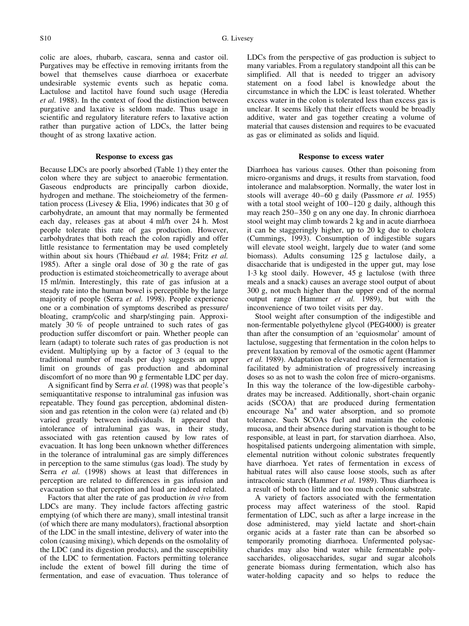colic are aloes, rhubarb, cascara, senna and castor oil. Purgatives may be effective in removing irritants from the bowel that themselves cause diarrhoea or exacerbate undesirable systemic events such as hepatic coma. Lactulose and lactitol have found such usage (Heredia et al. 1988). In the context of food the distinction between purgative and laxative is seldom made. Thus usage in scientific and regulatory literature refers to laxative action rather than purgative action of LDCs, the latter being thought of as strong laxative action.

## Response to excess gas

Because LDCs are poorly absorb[ed \(Table 1\) the](#page-1-0)y enter the colon where they are subject to anaerobic fermentation. Gaseous endproducts are principally carbon dioxide, hydrogen and methane. The stoicheiometry of the fermentation process (Livesey & Elia, 1996) indicates that 30 g of carbohydrate, an amount that may normally be fermented each day, releases gas at about 4 ml/h over 24 h. Most people tolerate this rate of gas production. However, carbohydrates that both reach the colon rapidly and offer little resistance to fermentation may be used completely within about six hours (Thiébaud et al. 1984; Fritz et al. 1985). After a single oral dose of 30 g the rate of gas production is estimated stoicheometrically to average about 15 ml/min. Interestingly, this rate of gas infusion at a steady rate into the human bowel is perceptible by the large majority of people (Serra et al. 1998). People experience one or a combination of symptoms described as pressure/ bloating, cramp/colic and sharp/stinging pain. Approximately 30 % of people untrained to such rates of gas production suffer discomfort or pain. Whether people can learn (adapt) to tolerate such rates of gas production is not evident. Multiplying up by a factor of 3 (equal to the traditional number of meals per day) suggests an upper limit on grounds of gas production and abdominal discomfort of no more than 90 g fermentable LDC per day.

A significant find by Serra et al. (1998) was that people's semiquantitative response to intraluminal gas infusion was repeatable. They found gas perception, abdominal distension and gas retention in the colon were (a) related and (b) varied greatly between individuals. It appeared that intolerance of intraluminal gas was, in their study, associated with gas retention caused by low rates of evacuation. It has long been unknown whether differences in the tolerance of intraluminal gas are simply differences in perception to the same stimulus (gas load). The study by Serra et al. (1998) shows at least that differences in perception are related to differences in gas infusion and evacuation so that perception and load are indeed related.

Factors that alter the rate of gas production in vivo from LDCs are many. They include factors affecting gastric emptying (of which there are many), small intestinal transit (of which there are many modulators), fractional absorption of the LDC in the small intestine, delivery of water into the colon (causing mixing), which depends on the osmolality of the LDC (and its digestion products), and the susceptibility of the LDC to fermentation. Factors permitting tolerance include the extent of bowel fill during the time of fermentation, and ease of evacuation. Thus tolerance of LDCs from the perspective of gas production is subject to many variables. From a regulatory standpoint all this can be simplified. All that is needed to trigger an advisory statement on a food label is knowledge about the circumstance in which the LDC is least tolerated. Whether excess water in the colon is tolerated less than excess gas is unclear. It seems likely that their effects would be broadly additive, water and gas together creating a volume of material that causes distension and requires to be evacuated as gas or eliminated as solids and liquid.

#### Response to excess water

Diarrhoea has various causes. Other than poisoning from micro-organisms and drugs, it results from starvation, food intolerance and malabsorption. Normally, the water lost in stools will average  $40-60$  g daily (Passmore *et al.* 1955) with a total stool weight of  $100-120$  g daily, although this may reach  $250-350$  g on any one day. In chronic diarrhoea stool weight may climb towards 2 kg and in acute diarrhoea it can be staggeringly higher, up to 20 kg due to cholera (Cummings, 1993). Consumption of indigestible sugars will elevate stool weight, largely due to water (and some biomass). Adults consuming 125 g lactulose daily, a disaccharide that is undigested in the upper gut, may lose  $1·3$  kg stool daily. However,  $45$  g lactulose (with three meals and a snack) causes an average stool output of about 300 g, not much higher than the upper end of the normal output range (Hammer et al. 1989), but with the inconvenience of two toilet visits per day.

Stool weight after consumption of the indigestible and non-fermentable polyethylene glycol (PEG4000) is greater than after the consumption of an `equiosmolar' amount of lactulose, suggesting that fermentation in the colon helps to prevent laxation by removal of the osmotic agent (Hammer et al. 1989). Adaptation to elevated rates of fermentation is facilitated by administration of progressively increasing doses so as not to wash the colon free of micro-organisms. In this way the tolerance of the low-digestible carbohydrates may be increased. Additionally, short-chain organic acids (SCOA) that are produced during fermentation encourage  $Na<sup>+</sup>$  and water absorption, and so promote tolerance. Such SCOAs fuel and maintain the colonic mucosa, and their absence during starvation is thought to be responsible, at least in part, for starvation diarrhoea. Also, hospitalised patients undergoing alimentation with simple, elemental nutrition without colonic substrates frequently have diarrhoea. Yet rates of fermentation in excess of habitual rates will also cause loose stools, such as after intracolonic starch (Hammer et al. 1989). Thus diarrhoea is a result of both too little and too much colonic substrate.

A variety of factors associated with the fermentation process may affect wateriness of the stool. Rapid fermentation of LDC, such as after a large increase in the dose administered, may yield lactate and short-chain organic acids at a faster rate than can be absorbed so temporarily promoting diarrhoea. Unfermented polysaccharides may also bind water while fermentable polysaccharides, oligosaccharides, sugar and sugar alcohols generate biomass during fermentation, which also has water-holding capacity and so helps to reduce the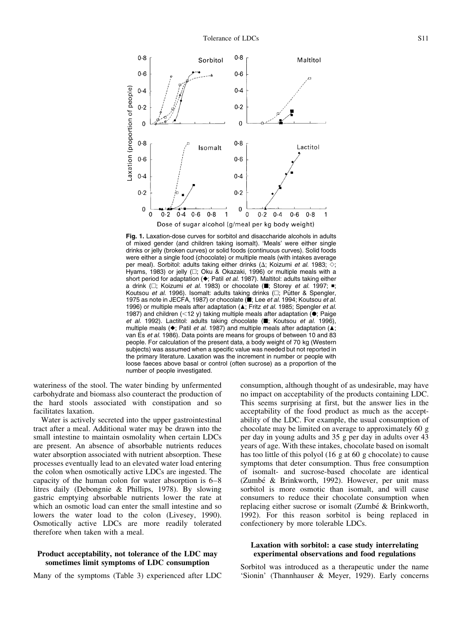<span id="page-4-0"></span>

Fig. 1. Laxation-dose curves for sorbitol and disaccharide alcohols in adults of mixed gender (and children taking isomalt). 'Meals' were either single drinks or jelly (broken curves) or solid foods (continuous curves). Solid foods were either a single food (chocolate) or multiple meals (with intakes average per meal). Sorbitol: adults taking either drinks ( $\Delta$ ; Koizumi et al. 1983;  $\Diamond$ ; Hyams, 1983) or jelly  $\Box$ ; Oku & Okazaki, 1996) or multiple meals with a short period for adaptation  $(•;$  Patil et al. 1987). Maltitol: adults taking either a drink ( $\Box$ ; Koizumi *et al.* 1983) or chocolate ( $\Box$ ; Storey *et al.* 1997;  $\Box$ ; Koutsou et al. 1996). Isomalt: adults taking drinks  $(\Box;$  Pütter & Spengler, 1975 as note in JECFA, 1987) or chocolate ( $\blacksquare$ ; Lee et al. 1994; Koutsou et al. 1996) or multiple meals after adaptation ( $\triangle$ ; Fritz et al. 1985; Spengler et al. 1987) and children (<12 y) taking multiple meals after adaptation ( $\bullet$ ; Paige et al. 1992). Lactitol: adults taking chocolate (. Koutsou et al. 1996), multiple meals ( $\blacklozenge$ ; Patil *et al.* 1987) and multiple meals after adaptation ( $\blacktriangle$ ; van Es et al. 1986). Data points are means for groups of between 10 and 83 people. For calculation of the present data, a body weight of 70 kg (Western subjects) was assumed when a specific value was needed but not reported in the primary literature. Laxation was the increment in number or people with loose faeces above basal or control (often sucrose) as a proportion of the number of people investigated.

wateriness of the stool. The water binding by unfermented carbohydrate and biomass also counteract the production of the hard stools associated with constipation and so facilitates laxation.

Water is actively secreted into the upper gastrointestinal tract after a meal. Additional water may be drawn into the small intestine to maintain osmolality when certain LDCs are present. An absence of absorbable nutrients reduces water absorption associated with nutrient absorption. These processes eventually lead to an elevated water load entering the colon when osmotically active LDCs are ingested. The capacity of the human colon for water absorption is  $6-8$ litres daily (Debongnie & Phillips, 1978). By slowing gastric emptying absorbable nutrients lower the rate at which an osmotic load can enter the small intestine and so lowers the water load to the colon (Livesey, 1990). Osmotically active LDCs are more readily tolerated therefore when taken with a meal.

# Product acceptability, not tolerance of the LDC may sometimes limit symptoms of LDC consumption

Many of the symptom[s \(Table 3\)](#page-2-0) experienced after LDC

consumption, although thought of as undesirable, may have no impact on acceptability of the products containing LDC. This seems surprising at first, but the answer lies in the acceptability of the food product as much as the acceptability of the LDC. For example, the usual consumption of chocolate may be limited on average to approximately 60 g per day in young adults and 35 g per day in adults over 43 years of age. With these intakes, chocolate based on isomalt has too little of this polyol (16 g at 60 g chocolate) to cause symptoms that deter consumption. Thus free consumption of isomalt- and sucrose-based chocolate are identical (Zumbé & Brinkworth, 1992). However, per unit mass sorbitol is more osmotic than isomalt, and will cause consumers to reduce their chocolate consumption when replacing either sucrose or isomalt (Zumbé & Brinkworth, 1992). For this reason sorbitol is being replaced in confectionery by more tolerable LDCs.

## Laxation with sorbitol: a case study interrelating experimental observations and food regulations

Sorbitol was introduced as a therapeutic under the name `Sionin' (Thannhauser & Meyer, 1929). Early concerns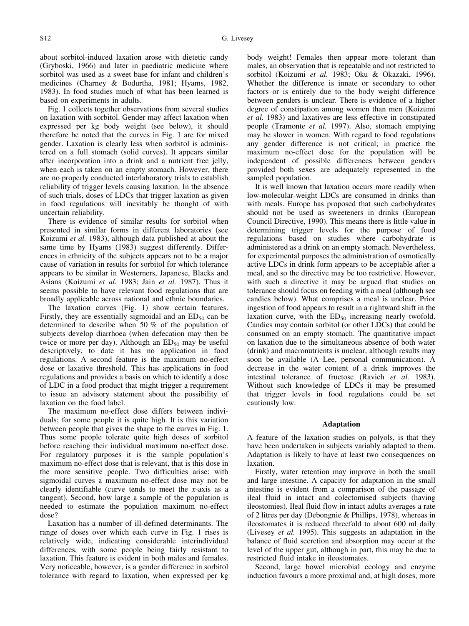about sorbitol-induced laxation arose with dietetic candy (Gryboski, 1966) and later in paediatric medicine where sorbitol was used as a sweet base for infant and children's medicines (Charney & Bodurtha, 1981; Hyams, 1982, 1983). In food studies much of what has been learned is based on experiments in adults.

[Fig. 1 c](#page-4-0)ollects together observations from several studies on laxation with sorbitol. Gender may affect laxation when expressed per kg body weight (see below), it should therefore be noted that the curves i[n Fig. 1 a](#page-4-0)re for mixed gender. Laxation is clearly less when sorbitol is administered on a full stomach (solid curves). It appears similar after incorporation into a drink and a nutrient free jelly, when each is taken on an empty stomach. However, there are no properly conducted interlaboratory trials to establish reliability of trigger levels causing laxation. In the absence of such trials, doses of LDCs that trigger laxation as given in food regulations will inevitably be thought of with uncertain reliability.

There is evidence of similar results for sorbitol when presented in similar forms in different laboratories (see Koizumi et al. 1983), although data published at about the same time by Hyams (1983) suggest differently. Differences in ethnicity of the subjects appears not to be a major cause of variation in results for sorbitol for which tolerance appears to be similar in Westerners, Japanese, Blacks and Asians (Koizumi et al. 1983; Jain et al. 1987). Thus it seems possible to have relevant food regulations that are broadly applicable across national and ethnic boundaries.

The laxation curves [\(Fig. 1\) s](#page-4-0)how certain features. Firstly, they are essentially sigmoidal and an  $ED_{50}$  can be determined to describe when 50 % of the population of subjects develop diarrhoea (when defecation may then be twice or more per day). Although an  $ED_{50}$  may be useful descriptively, to date it has no application in food regulations. A second feature is the maximum no-effect dose or laxative threshold. This has applications in food regulations and provides a basis on which to identify a dose of LDC in a food product that might trigger a requirement to issue an advisory statement about the possibility of laxation on the food label.

The maximum no-effect dose differs between individuals; for some people it is quite high. It is this variation between people that gives the shape to the curves [in Fig. 1.](#page-4-0) Thus some people tolerate quite high doses of sorbitol before reaching their individual maximum no-effect dose. For regulatory purposes it is the sample population's maximum no-effect dose that is relevant, that is this dose in the more sensitive people. Two difficulties arise: with sigmoidal curves a maximum no-effect dose may not be clearly identifiable (curve tends to meet the x-axis as a tangent). Second, how large a sample of the population is needed to estimate the population maximum no-effect dose?

Laxation has a number of ill-defined determinants. The range of doses over which each curve i[n Fig. 1](#page-4-0) rises is relatively wide, indicating considerable interindividual differences, with some people being fairly resistant to laxation. This feature is evident in both males and females. Very noticeable, however, is a gender difference in sorbitol tolerance with regard to laxation, when expressed per kg body weight! Females then appear more tolerant than males, an observation that is repeatable and not restricted to sorbitol (Koizumi et al. 1983; Oku & Okazaki, 1996). Whether the difference is innate or secondary to other factors or is entirely due to the body weight difference between genders is unclear. There is evidence of a higher degree of constipation among women than men (Koizumi et al. 1983) and laxatives are less effective in constipated people (Tramonte et al. 1997). Also, stomach emptying may be slower in women. With regard to food regulations any gender difference is not critical; in practice the maximum no-effect dose for the population will be independent of possible differences between genders provided both sexes are adequately represented in the sampled population.

It is well known that laxation occurs more readily when low-molecular-weight LDCs are consumed in drinks than with meals. Europe has proposed that such carbohydrates should not be used as sweeteners in drinks (European Council Directive, 1990). This means there is little value in determining trigger levels for the purpose of food regulations based on studies where carbohydrate is administered as a drink on an empty stomach. Nevertheless, for experimental purposes the administration of osmotically active LDCs in drink form appears to be acceptable after a meal, and so the directive may be too restrictive. However, with such a directive it may be argued that studies on tolerance should focus on feeding with a meal (although see candies below). What comprises a meal is unclear. Prior ingestion of food appears to result in a rightward shift in the laxation curve, with the  $ED_{50}$  increasing nearly twofold. Candies may contain sorbitol (or other LDCs) that could be consumed on an empty stomach. The quantitative impact on laxation due to the simultaneous absence of both water (drink) and macronutrients is unclear, although results may soon be available (A Lee, personal communication). A decrease in the water content of a drink improves the intestinal tolerance of fructose (Ravich et al. 1983). Without such knowledge of LDCs it may be presumed that trigger levels in food regulations could be set cautiously low.

## Adaptation

A feature of the laxation studies on polyols, is that they have been undertaken in subjects variably adapted to them. Adaptation is likely to have at least two consequences on laxation.

Firstly, water retention may improve in both the small and large intestine. A capacity for adaptation in the small intestine is evident from a comparison of the passage of ileal fluid in intact and colectomised subjects (having ileostomies). Ileal fluid flow in intact adults averages a rate of 2 litres per day (Debongnie & Phillips, 1978), whereas in ileostomates it is reduced threefold to about 600 ml daily (Livesey et al. 1995). This suggests an adaptation in the balance of fluid secretion and absorption may occur at the level of the upper gut, although in part, this may be due to restricted fluid intake in ileostomates.

Second, large bowel microbial ecology and enzyme induction favours a more proximal and, at high doses, more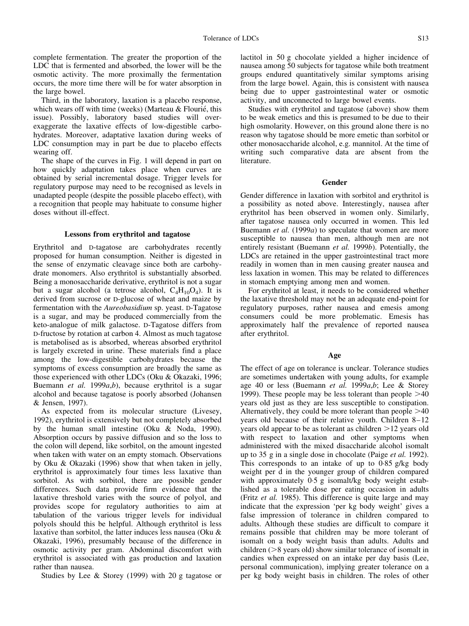complete fermentation. The greater the proportion of the LDC that is fermented and absorbed, the lower will be the osmotic activity. The more proximally the fermentation occurs, the more time there will be for water absorption in the large bowel.

Third, in the laboratory, laxation is a placebo response, which wears off with time (weeks) (Marteau  $&$  Flourié, this issue). Possibly, laboratory based studies will overexaggerate the laxative effects of low-digestible carbohydrates. Moreover, adaptative laxation during weeks of LDC consumption may in part be due to placebo effects wearing off.

The shape of the curves i[n Fig. 1 w](#page-4-0)ill depend in part on how quickly adaptation takes place when curves are obtained by serial incremental dosage. Trigger levels for regulatory purpose may need to be recognised as levels in unadapted people (despite the possible placebo effect), with a recognition that people may habituate to consume higher doses without ill-effect.

## Lessons from erythritol and tagatose

Erythritol and D-tagatose are carbohydrates recently proposed for human consumption. Neither is digested in the sense of enzymatic cleavage since both are carbohydrate monomers. Also erythritol is substantially absorbed. Being a monosaccharide derivative, erythritol is not a sugar but a sugar alcohol (a tetrose alcohol,  $C_4H_{10}O_4$ ). It is derived from sucrose or D-glucose of wheat and maize by fermentation with the Aureobasidium sp. yeast. D-Tagatose is a sugar, and may be produced commercially from the keto-analogue of milk galactose. D-Tagatose differs from D-fructose by rotation at carbon 4. Almost as much tagatose is metabolised as is absorbed, whereas absorbed erythritol is largely excreted in urine. These materials find a place among the low-digestible carbohydrates because the symptoms of excess consumption are broadly the same as those experienced with other LDCs (Oku & Okazaki, 1996; Buemann et al. 1999a,b), because erythritol is a sugar alcohol and because tagatose is poorly absorbed (Johansen & Jensen, 1997).

As expected from its molecular structure (Livesey, 1992), erythritol is extensively but not completely absorbed by the human small intestine (Oku & Noda, 1990). Absorption occurs by passive diffusion and so the loss to the colon will depend, like sorbitol, on the amount ingested when taken with water on an empty stomach. Observations by Oku & Okazaki (1996) show that when taken in jelly, erythritol is approximately four times less laxative than sorbitol. As with sorbitol, there are possible gender differences. Such data provide firm evidence that the laxative threshold varies with the source of polyol, and provides scope for regulatory authorities to aim at tabulation of the various trigger levels for individual polyols should this be helpful. Although erythritol is less laxative than sorbitol, the latter induces less nausea (Oku & Okazaki, 1996), presumably because of the difference in osmotic activity per gram. Abdominal discomfort with erythritol is associated with gas production and laxation rather than nausea.

Studies by Lee & Storey (1999) with 20 g tagatose or

lactitol in 50 g chocolate yielded a higher incidence of nausea among 50 subjects for tagatose while both treatment groups endured quantitatively similar symptoms arising from the large bowel. Again, this is consistent with nausea being due to upper gastrointestinal water or osmotic activity, and unconnected to large bowel events.

Studies with erythritol and tagatose (above) show them to be weak emetics and this is presumed to be due to their high osmolarity. However, on this ground alone there is no reason why tagatose should be more emetic than sorbitol or other monosaccharide alcohol, e.g. mannitol. At the time of writing such comparative data are absent from the literature.

# Gender

Gender difference in laxation with sorbitol and erythritol is a possibility as noted above. Interestingly, nausea after erythritol has been observed in women only. Similarly, after tagatose nausea only occurred in women. This led Buemann et al.  $(1999a)$  to speculate that women are more susceptible to nausea than men, although men are not entirely resistant (Buemann *et al.* 1999*b*). Potentially, the LDCs are retained in the upper gastrointestinal tract more readily in women than in men causing greater nausea and less laxation in women. This may be related to differences in stomach emptying among men and women.

For erythritol at least, it needs to be considered whether the laxative threshold may not be an adequate end-point for regulatory purposes, rather nausea and emesis among consumers could be more problematic. Emesis has approximately half the prevalence of reported nausea after erythritol.

# Age

The effect of age on tolerance is unclear. Tolerance studies are sometimes undertaken with young adults, for example age 40 or less (Buemann et al. 1999 $a,b$ ; Lee & Storey 1999). These people may be less tolerant than people  $>40$ years old just as they are less susceptible to constipation. Alternatively, they could be more tolerant than people  $>40$ years old because of their relative youth. Children  $8-12$ years old appear to be as tolerant as children  $>12$  years old with respect to laxation and other symptoms when administered with the mixed disaccharide alcohol isomalt up to 35 g in a single dose in chocolate (Paige et al. 1992). This corresponds to an intake of up to  $0.85$  g/kg body weight per d in the younger group of children compared with approximately 0.5 g isomalt/kg body weight established as a tolerable dose per eating occasion in adults (Fritz et al. 1985). This difference is quite large and may indicate that the expression `per kg body weight' gives a false impression of tolerance in children compared to adults. Although these studies are difficult to compare it remains possible that children may be more tolerant of isomalt on a body weight basis than adults. Adults and children  $($  > 8 years old) show similar tolerance of isomalt in candies when expressed on an intake per day basis (Lee, personal communication), implying greater tolerance on a per kg body weight basis in children. The roles of other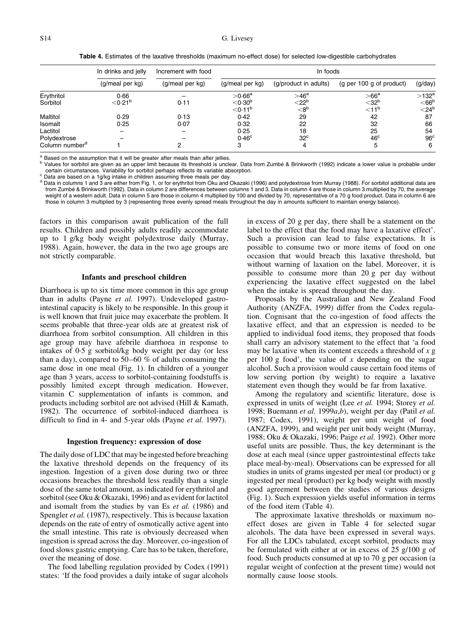Table 4. Estimates of the laxative thresholds (maximum no-effect dose) for selected low-digestible carbohydrates

<span id="page-7-0"></span>

|                            | In drinks and jelly  | Increment with food | In foods                    |                       |                          |                      |  |
|----------------------------|----------------------|---------------------|-----------------------------|-----------------------|--------------------------|----------------------|--|
|                            | (g/meal per kg)      | (g/meal per kg)     | (g/meal per kg)             | (g/product in adults) | (g per 100 g of product) | (g/day)              |  |
| Erythritol                 | 0.66                 |                     | $> 0.66^{\rm a}$            | $>$ 46 $^{\rm a}$     | > 66 <sup>a</sup>        | $>132^{\rm a}$       |  |
| Sorbitol                   | $<$ 0 $\cdot$ 21 $b$ | 0.11                | $<$ 0 $\cdot$ 30 $^{\circ}$ | ${<}22^{\circ}$       | $<$ 32 $^{\circ}$        | $<$ 66 $^{\circ}$    |  |
|                            |                      |                     | $<$ 0 $\cdot$ 11 $5$        | $<$ 8 $^{\circ}$      | $\leq 11^{\circ}$        | ${<}24^{\mathrm{b}}$ |  |
| Maltitol                   | 0.29                 | 0.13                | 0.42                        | 29                    | 42                       | 87                   |  |
| Isomalt                    | 0.25                 | 0.07                | 0.32                        | 22                    | 32                       | 66                   |  |
| Lactitol                   |                      |                     | 0.25                        | 18                    | 25                       | 54                   |  |
| Polydextrose               |                      |                     | $0.46^\circ$                | 32 <sup>c</sup>       | 46 <sup>c</sup>          | $96^{\circ}$         |  |
| Column number <sup>a</sup> |                      |                     | 3                           | 4                     | 5                        | 6                    |  |

a Based on the assumption that it will be greater after meals than after jellies.<br>b Values for sorbitol are given as an upper limit because its threshold is unclear. Data from Zumbé & Brinkworth (1992) indicate a lower val

c Data are based on a 1g/kg intake in children assuming three meals per day.<br>d Data are based on a 1g/kg intake in children assuming three meals per day.<br>d Data in columns 1 and 3 are either from Fig. 1, or for erythritol from Zumbé & Brinkworth (1992). Data in column 2 are differences between columns 1 and 3. Data in column 4 are those in column 3 multiplied by 70, the average weight of a western adult. Data in column 5 are those in column 4 multiplied by 100 and divided by 70, representative of a 70 g food product. Data in column 6 are those in column 3 multiplied by 3 (representing three evenly spread meals throughout the day in amounts sufficient to maintain energy balance).

factors in this comparison await publication of the full results. Children and possibly adults readily accommodate up to 1 g/kg body weight polydextrose daily (Murray, 1988). Again, however, the data in the two age groups are not strictly comparable.

## Infants and preschool children

Diarrhoea is up to six time more common in this age group than in adults (Payne et al. 1997). Undeveloped gastrointestinal capacity is likely to be responsible. In this group it is well known that fruit juice may exacerbate the problem. It seems probable that three-year olds are at greatest risk of diarrhoea from sorbitol consumption. All children in this age group may have afebrile diarrhoea in response to intakes of 0´5 g sorbitol/kg body weight per day (or less than a day), compared to  $50-60$  % of adults consuming the same dose in one mea[l \(Fig. 1\).](#page-4-0) In children of a younger age than 3 years, access to sorbitol-containing foodstuffs is possibly limited except through medication. However, vitamin C supplementation of infants is common, and products including sorbitol are not advised (Hill & Kamath, 1982). The occurrence of sorbitol-induced diarrhoea is difficult to find in 4- and 5-year olds (Payne et al. 1997).

#### Ingestion frequency: expression of dose

The daily dose of LDC that may be ingested before breaching the laxative threshold depends on the frequency of its ingestion. Ingestion of a given dose during two or three occasions breaches the threshold less readily than a single dose of the same total amount, as indicated for erythritol and sorbitol (see Oku & Okazaki, 1996) and as evident for lactitol and isomalt from the studies by van Es et al. (1986) and Spengler *et al.* (1987), respectively. This is because laxation depends on the rate of entry of osmotically active agent into the small intestine. This rate is obviously decreased when ingestion is spread across the day. Moreover, co-ingestion of food slows gastric emptying. Care has to be taken, therefore, over the meaning of dose.

The food labelling regulation provided by Codex (1991) states: `If the food provides a daily intake of sugar alcohols in excess of 20 g per day, there shall be a statement on the label to the effect that the food may have a laxative effect'. Such a provision can lead to false expectations. It is possible to consume two or more items of food on one occasion that would breach this laxative threshold, but without warning of laxation on the label. Moreover, it is possible to consume more than 20 g per day without experiencing the laxative effect suggested on the label when the intake is spread throughout the day.

Proposals by the Australian and New Zealand Food Authority (ANZFA, 1999) differ from the Codex regulation. Cognisant that the co-ingestion of food affects the laxative effect, and that an expression is needed to be applied to individual food items, they proposed that foods shall carry an advisory statement to the effect that `a food may be laxative when its content exceeds a threshold of  $x$  g per 100 g food', the value of  $x$  depending on the sugar alcohol. Such a provision would cause certain food items of low serving portion (by weight) to require a laxative statement even though they would be far from laxative.

Among the regulatory and scientific literature, dose is expressed in units of weight (Lee et al. 1994; Storey et al. 1998; Buemann et al. 1999a,b), weight per day (Patil et al. 1987; Codex, 1991), weight per unit weight of food (ANZFA, 1999), and weight per unit body weight (Murray, 1988; Oku & Okazaki, 1996; Paige et al. 1992). Other more useful units are possible. Thus, the key determinant is the dose at each meal (since upper gastrointestinal effects take place meal-by-meal). Observations can be expressed for all studies in units of grams ingested per meal (or product) or g ingested per meal (product) per kg body weight with mostly good agreement between the studies of various designs [\(Fig. 1\). S](#page-4-0)uch expression yields useful information in terms of the food item (Table 4).

The approximate laxative thresholds or maximum noeffect doses are given in Table 4 for selected sugar alcohols. The data have been expressed in several ways. For all the LDCs tabulated, except sorbitol, products may be formulated with either at or in excess of 25 g/100 g of food. Such products consumed at up to 70 g per occasion (a regular weight of confection at the present time) would not normally cause loose stools.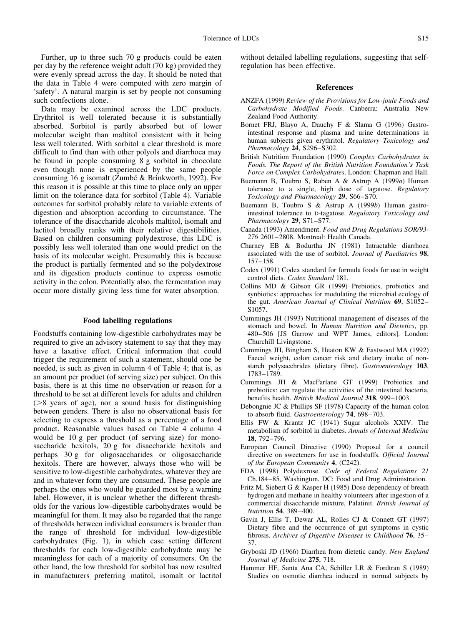Data may be examined across the LDC products. Erythritol is well tolerated because it is substantially absorbed. Sorbitol is partly absorbed but of lower molecular weight than maltitol consistent with it being less well tolerated. With sorbitol a clear threshold is more difficult to find than with other polyols and diarrhoea may be found in people consuming 8 g sorbitol in chocolate even though none is experienced by the same people consuming 16 g isomalt (Zumbé & Brinkworth, 1992). For this reason it is possible at this time to place only an upper limit on the tolerance data for sorbit[ol \(Table 4\).](#page-7-0) Variable outcomes for sorbitol probably relate to variable extents of digestion and absorption according to circumstance. The tolerance of the disaccharide alcohols maltitol, isomalt and lactitol broadly ranks with their relative digestibilities. Based on children consuming polydextrose, this LDC is possibly less well tolerated than one would predict on the basis of its molecular weight. Presumably this is because the product is partially fermented and so the polydextrose and its digestion products continue to express osmotic activity in the colon. Potentially also, the fermentation may occur more distally giving less time for water absorption.

#### Food labelling regulations

Foodstuffs containing low-digestible carbohydrates may be required to give an advisory statement to say that they may have a laxative effect. Critical information that could trigger the requirement of such a statement, should one be needed, is such as given in column 4 o[f Table 4; th](#page-7-0)at is, as an amount per product (of serving size) per subject. On this basis, there is at this time no observation or reason for a threshold to be set at different levels for adults and children  $($ >8 years of age), nor a sound basis for distinguishing between genders. There is also no observational basis for selecting to express a threshold as a percentage of a food product. Reasonable values based o[n Table 4](#page-7-0) column 4 would be 10 g per product (of serving size) for monosaccharide hexitols, 20 g for disaccharide hexitols and perhaps 30 g for oligosaccharides or oligosaccharide hexitols. There are however, always those who will be sensitive to low-digestible carbohydrates, whatever they are and in whatever form they are consumed. These people are perhaps the ones who would be guarded most by a warning label. However, it is unclear whether the different thresholds for the various low-digestible carbohydrates would be meaningful for them. It may also be regarded that the range of thresholds between individual consumers is broader than the range of threshold for individual low-digestible carbohydrate[s \(Fig. 1\),](#page-4-0) in which case setting different thresholds for each low-digestible carbohydrate may be meaningless for each of a majority of consumers. On the other hand, the low threshold for sorbitol has now resulted in manufacturers preferring matitol, isomalt or lactitol

without detailed labelling regulations, suggesting that selfregulation has been effective.

## References

- ANZFA (1999) Review of the Provisions for Low-joule Foods and Carbohydrate Modified Foods. Canberra: Australia New Zealand Food Authority.
- Bornet FRJ, Blayo A, Dauchy F & Slama G (1996) Gastrointestinal response and plasma and urine determinations in human subjects given erythritol. Regulatory Toxicology and Pharmacology 24, S296-S302.
- British Nutrition Foundation (1990) Complex Carbohydrates in Foods. The Report of the British Nutrition Foundation's Task Force on Complex Carbohydrates. London: Chapman and Hall.
- Buemann B, Toubro S, Raben A & Astrup A (1999a) Human tolerance to a single, high dose of tagatose. Regulatory Toxicology and Pharmacology 29, S66-S70.
- Buemann B, Toubro S & Astrup A (1999b) Human gastrointestinal tolerance to D-tagatose. Regulatory Toxicology and Pharmacology 29, S71-S77.
- Canada (1993) Amendment. Food and Drug Regulations SOR/93- 276 2601-2808. Montreal: Health Canada.
- Charney EB & Bodurtha JN (1981) Intractable diarrhoea associated with the use of sorbitol. Journal of Paediatrics 98, 157±158.
- Codex (1991) Codex standard for formula foods for use in weight control diets. Codex Standard 181.
- Collins MD & Gibson GR (1999) Prebiotics, probiotics and synbiotics: approaches for modulating the microbial ecology of the gut. American Journal of Clinical Nutrition 69, S1052-S<sub>1057</sub>.
- Cummings JH (1993) Nutritional management of diseases of the stomach and bowel. In Human Nutrition and Dietetics, pp. 480-506 [JS Garrow and WPT James, editors]. London: Churchill Livingstone.
- Cummings JH, Bingham S, Heaton KW & Eastwood MA (1992) Faecal weight, colon cancer risk and dietary intake of nonstarch polysacchrides (dietary fibre). Gastroenterology 103, 1783±1789.
- Cummings JH & MacFarlane GT (1999) Probiotics and prebiotics: can regulate the activities of the intestinal bacteria, benefits health. British Medical Journal 318, 999-1003.
- Debongnie JC & Phillips SF (1978) Capacity of the human colon to absorb fluid. Gastroenterology 74, 698-703.
- Ellis FW & Krantz JC (1941) Sugar alcohols XXIV. The metabolism of sorbitol in diabetes. Annals of Internal Medicine 18, 792±796.
- European Council Directive (1990) Proposal for a council directive on sweeteners for use in foodstuffs. Official Journal of the European Community 4, (C242).
- FDA (1998) Polydexrose. Code of Federal Regulations 21 Ch.184-85. Washington, DC: Food and Drug Administration.
- Fritz M, Siebert G & Kasper H (1985) Dose dependency of breath hydrogen and methane in healthy volunteers after ingestion of a commercial disaccharide mixture, Palatinit. British Journal of Nutrition 54, 389-400.
- Gavin J, Ellis T, Dewar AL, Rolles CJ & Connett GT (1997) Dietary fibre and the occurrence of gut symptoms in cystic fibrosis. Archives of Digestive Diseases in Childhood  $76$ ,  $35-$ 37.
- Gryboski JD (1966) Diarrhea from dietetic candy. New England Journal of Medicine 275, 718.
- Hammer HF, Santa Ana CA, Schiller LR & Fordtran S (1989) Studies on osmotic diarrhea induced in normal subjects by